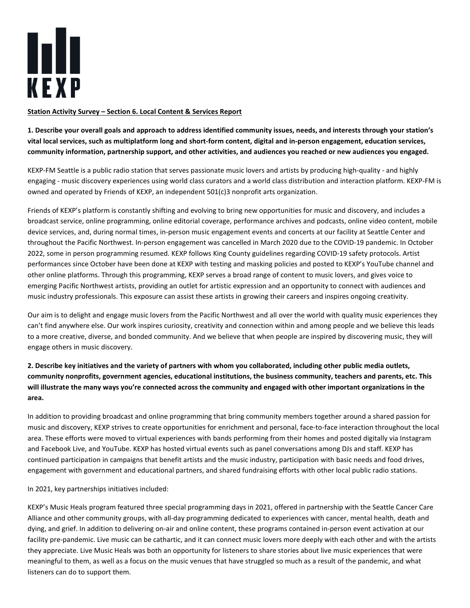

## Station Activity Survey – Section 6. Local Content & Services Report

1. Describe your overall goals and approach to address identified community issues, needs, and interests through your station's vital local services, such as multiplatform long and short-form content, digital and in-person engagement, education services, community information, partnership support, and other activities, and audiences you reached or new audiences you engaged.

KEXP-FM Seattle is a public radio station that serves passionate music lovers and artists by producing high-quality - and highly engaging - music discovery experiences using world class curators and a world class distribution and interaction platform. KEXP-FM is owned and operated by Friends of KEXP, an independent 501(c)3 nonprofit arts organization.

Friends of KEXP's platform is constantly shifting and evolving to bring new opportunities for music and discovery, and includes a broadcast service, online programming, online editorial coverage, performance archives and podcasts, online video content, mobile device services, and, during normal times, in-person music engagement events and concerts at our facility at Seattle Center and throughout the Pacific Northwest. In-person engagement was cancelled in March 2020 due to the COVID-19 pandemic. In October 2022, some in person programming resumed. KEXP follows King County guidelines regarding COVID-19 safety protocols. Artist performances since October have been done at KEXP with testing and masking policies and posted to KEXP's YouTube channel and other online platforms. Through this programming, KEXP serves a broad range of content to music lovers, and gives voice to emerging Pacific Northwest artists, providing an outlet for artistic expression and an opportunity to connect with audiences and music industry professionals. This exposure can assist these artists in growing their careers and inspires ongoing creativity.

Our aim is to delight and engage music lovers from the Pacific Northwest and all over the world with quality music experiences they can't find anywhere else. Our work inspires curiosity, creativity and connection within and among people and we believe this leads to a more creative, diverse, and bonded community. And we believe that when people are inspired by discovering music, they will engage others in music discovery.

## 2. Describe key initiatives and the variety of partners with whom you collaborated, including other public media outlets, community nonprofits, government agencies, educational institutions, the business community, teachers and parents, etc. This will illustrate the many ways you're connected across the community and engaged with other important organizations in the area.

In addition to providing broadcast and online programming that bring community members together around a shared passion for music and discovery, KEXP strives to create opportunities for enrichment and personal, face-to-face interaction throughout the local area. These efforts were moved to virtual experiences with bands performing from their homes and posted digitally via Instagram and Facebook Live, and YouTube. KEXP has hosted virtual events such as panel conversations among DJs and staff. KEXP has continued participation in campaigns that benefit artists and the music industry, participation with basic needs and food drives, engagement with government and educational partners, and shared fundraising efforts with other local public radio stations.

## In 2021, key partnerships initiatives included:

KEXP's Music Heals program featured three special programming days in 2021, offered in partnership with the Seattle Cancer Care Alliance and other community groups, with all-day programming dedicated to experiences with cancer, mental health, death and dying, and grief. In addition to delivering on-air and online content, these programs contained in-person event activation at our facility pre-pandemic. Live music can be cathartic, and it can connect music lovers more deeply with each other and with the artists they appreciate. Live Music Heals was both an opportunity for listeners to share stories about live music experiences that were meaningful to them, as well as a focus on the music venues that have struggled so much as a result of the pandemic, and what listeners can do to support them.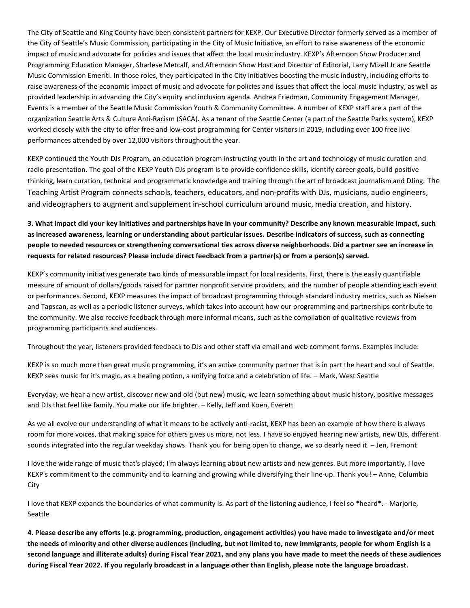The City of Seattle and King County have been consistent partners for KEXP. Our Executive Director formerly served as a member of the City of Seattle's Music Commission, participating in the City of Music Initiative, an effort to raise awareness of the economic impact of music and advocate for policies and issues that affect the local music industry. KEXP's Afternoon Show Producer and Programming Education Manager, Sharlese Metcalf, and Afternoon Show Host and Director of Editorial, Larry Mizell Jr are Seattle Music Commission Emeriti. In those roles, they participated in the City initiatives boosting the music industry, including efforts to raise awareness of the economic impact of music and advocate for policies and issues that affect the local music industry, as well as provided leadership in advancing the City's equity and inclusion agenda. Andrea Friedman, Community Engagement Manager, Events is a member of the Seattle Music Commission Youth & Community Committee. A number of KEXP staff are a part of the organization Seattle Arts & Culture Anti-Racism (SACA). As a tenant of the Seattle Center (a part of the Seattle Parks system), KEXP worked closely with the city to offer free and low-cost programming for Center visitors in 2019, including over 100 free live performances attended by over 12,000 visitors throughout the year.

KEXP continued the Youth DJs Program, an education program instructing youth in the art and technology of music curation and radio presentation. The goal of the KEXP Youth DJs program is to provide confidence skills, identify career goals, build positive thinking, learn curation, technical and programmatic knowledge and training through the art of broadcast journalism and DJing. The Teaching Artist Program connects schools, teachers, educators, and non-profits with DJs, musicians, audio engineers, and videographers to augment and supplement in-school curriculum around music, media creation, and history.

3. What impact did your key initiatives and partnerships have in your community? Describe any known measurable impact, such as increased awareness, learning or understanding about particular issues. Describe indicators of success, such as connecting people to needed resources or strengthening conversational ties across diverse neighborhoods. Did a partner see an increase in requests for related resources? Please include direct feedback from a partner(s) or from a person(s) served.

KEXP's community initiatives generate two kinds of measurable impact for local residents. First, there is the easily quantifiable measure of amount of dollars/goods raised for partner nonprofit service providers, and the number of people attending each event or performances. Second, KEXP measures the impact of broadcast programming through standard industry metrics, such as Nielsen and Tapscan, as well as a periodic listener surveys, which takes into account how our programming and partnerships contribute to the community. We also receive feedback through more informal means, such as the compilation of qualitative reviews from programming participants and audiences.

Throughout the year, listeners provided feedback to DJs and other staff via email and web comment forms. Examples include:

KEXP is so much more than great music programming, it's an active community partner that is in part the heart and soul of Seattle. KEXP sees music for it's magic, as a healing potion, a unifying force and a celebration of life. – Mark, West Seattle

Everyday, we hear a new artist, discover new and old (but new) music, we learn something about music history, positive messages and DJs that feel like family. You make our life brighter. – Kelly, Jeff and Koen, Everett

As we all evolve our understanding of what it means to be actively anti-racist, KEXP has been an example of how there is always room for more voices, that making space for others gives us more, not less. I have so enjoyed hearing new artists, new DJs, different sounds integrated into the regular weekday shows. Thank you for being open to change, we so dearly need it. – Jen, Fremont

I love the wide range of music that's played; I'm always learning about new artists and new genres. But more importantly, I love KEXP's commitment to the community and to learning and growing while diversifying their line-up. Thank you! – Anne, Columbia City

I love that KEXP expands the boundaries of what community is. As part of the listening audience, I feel so \*heard\*. - Marjorie, Seattle

4. Please describe any efforts (e.g. programming, production, engagement activities) you have made to investigate and/or meet the needs of minority and other diverse audiences (including, but not limited to, new immigrants, people for whom English is a second language and illiterate adults) during Fiscal Year 2021, and any plans you have made to meet the needs of these audiences during Fiscal Year 2022. If you regularly broadcast in a language other than English, please note the language broadcast.